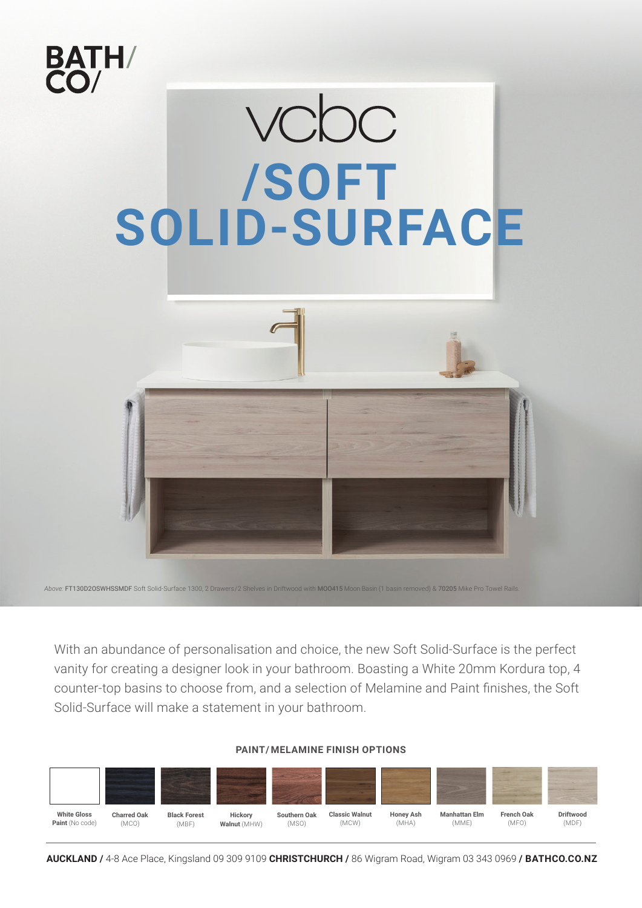

With an abundance of personalisation and choice, the new Soft Solid-Surface is the perfect vanity for creating a designer look in your bathroom. Boasting a White 20mm Kordura top, 4 counter-top basins to choose from, and a selection of Melamine and Paint finishes, the Soft Solid-Surface will make a statement in your bathroom.

### **PAINT/ MELAMINE FINISH OPTIONS**



**AUCKLAND /** 4-8 Ace Place, Kingsland 09 309 9109 **CHRISTCHURCH /** 86 Wigram Road, Wigram 03 343 0969 **/ BATHCO.CO.NZ**